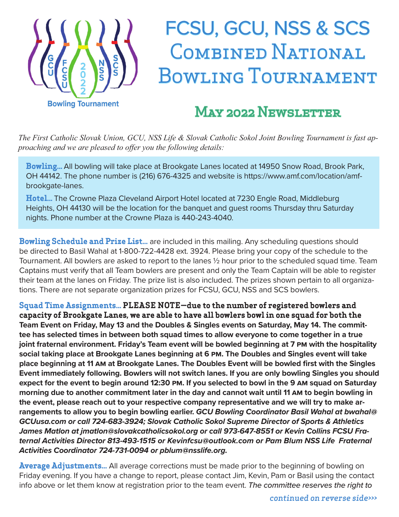

# FCSU, GCU, NSS & SCS COMBINED NATIONAL BOWLING TOURNAMENT

#### **MAY 2022 NEWSLETTER**

*The First Catholic Slovak Union, GCU, NSS Life & Slovak Catholic Sokol Joint Bowling Tournament is fast approaching and we are pleased to offer you the following details:* 

**Bowling...** All bowling will take place at Brookgate Lanes located at 14950 Snow Road, Brook Park, OH 44142. The phone number is (216) 676-4325 and website is https://www.amf.com/location/amfbrookgate-lanes.

**Hotel...** The Crowne Plaza Cleveland Airport Hotel located at 7230 Engle Road, Middleburg Heights, OH 44130 will be the location for the banquet and guest rooms Thursday thru Saturday nights. Phone number at the Crowne Plaza is 440-243-4040.

**Bowling Schedule and Prize List...** are included in this mailing. Any scheduling questions should be directed to Basil Wahal at 1-800-722-4428 ext. 3924. Please bring your copy of the schedule to the Tournament. All bowlers are asked to report to the lanes ½ hour prior to the scheduled squad time. Team Captains must verify that all Team bowlers are present and only the Team Captain will be able to register their team at the lanes on Friday. The prize list is also included. The prizes shown pertain to all organizations. There are not separate organization prizes for FCSU, GCU, NSS and SCS bowlers.

**Squad Time Assignments... PLEASE NOTE—due to the number of registered bowlers and capacity of Brookgate Lanes, we are able to have all bowlers bowl in one squad for both the Team Event on Friday, May 13 and the Doubles & Singles events on Saturday, May 14. The committee has selected times in between both squad times to allow everyone to come together in a true joint fraternal environment. Friday's Team event will be bowled beginning at 7 PM with the hospitality social taking place at Brookgate Lanes beginning at 6 PM. The Doubles and Singles event will take place beginning at 11 AM at Brookgate Lanes. The Doubles Event will be bowled first with the Singles Event immediately following. Bowlers will not switch lanes. If you are only bowling Singles you should expect for the event to begin around 12:30 PM. If you selected to bowl in the 9 AM squad on Saturday morning due to another commitment later in the day and cannot wait until 11 AM to begin bowling in the event, please reach out to your respective company representative and we will try to make arrangements to allow you to begin bowling earlier. GCU Bowling Coordinator Basil Wahal at bwahal@ GCUusa.com or call 724-683-3924; Slovak Catholic Sokol Supreme Director of Sports & Athletics James Matlon at jmatlon@slovakcatholicsokol.org or call 973-647-8551 or Kevin Collins FCSU Fraternal Activities Director 813-493-1515 or Kevinfcsu@outlook.com or Pam Blum NSS Life Fraternal Activities Coordinator 724-731-0094 or pblum@nsslife.org.**

**Average Adjustments...** All average corrections must be made prior to the beginning of bowling on Friday evening. If you have a change to report, please contact Jim, Kevin, Pam or Basil using the contact info above or let them know at registration prior to the team event. The committee reserves the right to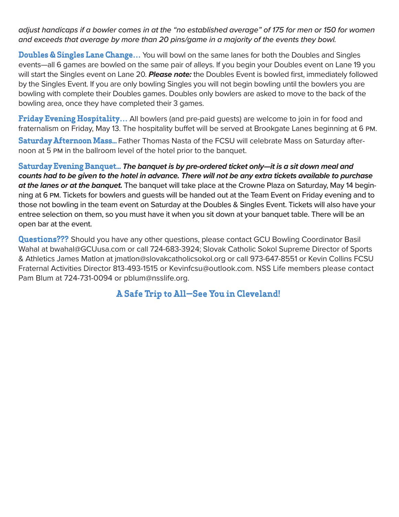adjust handicaps if a bowler comes in at the "no established average" of 175 for men or 150 for women and exceeds that average by more than 20 pins/game in a majority of the events they bowl.

**Doubles & Singles Lane Change…** You will bowl on the same lanes for both the Doubles and Singles events—all 6 games are bowled on the same pair of alleys. If you begin your Doubles event on Lane 19 you will start the Singles event on Lane 20. **Please note:** the Doubles Event is bowled first, immediately followed by the Singles Event. If you are only bowling Singles you will not begin bowling until the bowlers you are bowling with complete their Doubles games. Doubles only bowlers are asked to move to the back of the bowling area, once they have completed their 3 games.

**Friday Evening Hospitality...** All bowlers (and pre-paid quests) are welcome to join in for food and fraternalism on Friday, May 13. The hospitality buffet will be served at Brookgate Lanes beginning at 6 PM.

**Saturday Afternoon Mass...** Father Thomas Nasta of the FCSU will celebrate Mass on Saturday afternoon at 5 PM in the ballroom level of the hotel prior to the banquet.

**Saturday Evening Banquet... The banquet is by pre-ordered ticket only—it is a sit down meal and counts had to be given to the hotel in advance. There will not be any extra tickets available to purchase at the lanes or at the banquet.** The banquet will take place at the Crowne Plaza on Saturday, May 14 beginning at 6 PM. Tickets for bowlers and guests will be handed out at the Team Event on Friday evening and to those not bowling in the team event on Saturday at the Doubles & Singles Event. Tickets will also have your entree selection on them, so you must have it when you sit down at your banquet table. There will be an open bar at the event.

**Questions???** Should you have any other questions, please contact GCU Bowling Coordinator Basil Wahal at bwahal@GCUusa.com or call 724-683-3924; Slovak Catholic Sokol Supreme Director of Sports & Athletics James Matlon at jmatlon@slovakcatholicsokol.org or call 973-647-8551 or Kevin Collins FCSU Fraternal Activities Director 813-493-1515 or Kevinfcsu@outlook.com. NSS Life members please contact Pam Blum at 724-731-0094 or pblum@nsslife.org.

#### **A Safe Trip to All—See You in Cleveland!**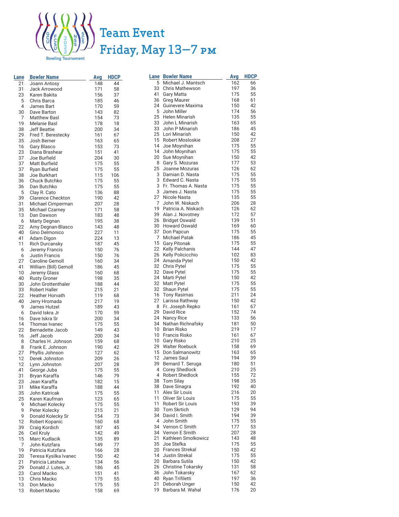

### Team Event Friday, May 13—7 PM

| Lane                    | <b>Bowler Name</b>                           | Avg        | HDCP     |
|-------------------------|----------------------------------------------|------------|----------|
| $21 -$                  | Joann Antosy                                 | 148        | 44       |
| 31.                     | Jack Arrowood                                | 171        | 58       |
| 23.                     | Karen Bakita                                 | 156        | 37       |
| $5 -$<br>4 <sup>1</sup> | Chris Barca<br>James Bart                    | 185<br>170 | 46<br>59 |
| 30.                     | Dave Barton                                  | 143        | 82       |
|                         | 7 Matthew Basl                               | 154        | 73       |
| 19                      | Melanie Basl                                 | 178        | 18       |
|                         | 38 Jeff Beattie                              | 200        | 34       |
| 29.                     | Fred T. Berestecky                           | 161        | 67       |
|                         | 35 Josh Berner                               | 163        | 65       |
|                         | 16 Gary Blasco                               | 153        | 73       |
|                         | 23 Diana Brashear<br>37 Joe Burfield         | 151<br>204 | 41<br>30 |
|                         | 37 Matt Burfield                             | 175        | 55       |
|                         | 37 Ryan Burfield                             | 175        | 55       |
| 38.                     | Joe Burkhart                                 | 115        | 106      |
|                         | 36 Chuck Butchko                             | 175        | 55       |
| 36.                     | Dan Butchko                                  | 175        | 55       |
|                         | 5 Clay R. Cato                               | 136        | 88       |
|                         | 39 Clarence Checkton<br>31 Michael Cimperman | 190<br>207 | 42<br>28 |
| 35.                     | <b>Michael Czarney</b>                       | 171        | 58       |
|                         | 13 Dan Dawson                                | 183        | 48       |
| 6.                      | <b>Marty Degnan</b>                          | 195        | 38       |
| $22 -$                  | Amy Degnan-Blasco                            | 143        | 48       |
| 40                      | Gino Delmonico                               | 227        | 11       |
| 41                      | Adam Digon                                   | 224        | 13       |
| 6.                      | 11 Rich Durcansky<br>Jeremy Francis          | 187<br>150 | 45<br>76 |
|                         | 6 Justin Francis                             | 150        | 76       |
| 27                      | Caroline Gemoll                              | 160        | 34       |
| 41                      | William (Bill) Gemoll                        | 186        | 45       |
| 10 <sup>1</sup>         | Jeremy Glass                                 | 160        | 68       |
|                         | 40 Rusty Groner                              | 198        | 35       |
| 30.<br>33.              | John Grottenthaler<br><b>Robert Haller</b>   | 188        | 44       |
| $22 -$                  | <b>Heather Horvath</b>                       | 215<br>119 | 21<br>68 |
|                         | 40 Jerry Hromada                             | 217        | 19       |
| 9.                      | James Hutzel                                 | 189        | 43       |
|                         | 6 David Iskra Jr                             | 170        | 59       |
| 16 <sup>1</sup>         | Dave Iskra Sr                                | 200        | 34       |
| 14 <sup>1</sup>         | Thomas Ivanec                                | 175        | 55       |
| 16 <sup>1</sup>         | 22 Bernadette Jacob<br>Jeff Jacob            | 149<br>200 | 43<br>34 |
|                         | 8 Charles H. Johnson                         | 159        | 68       |
| 8.                      | Frank E. Johnson                             | 190        | 42       |
| 27                      | Phyllis Johnson                              | 127        | 62       |
| 12.                     | Derek Johnston                               | 209        | 26       |
|                         | 12 Lynn Johnston                             | 207        | 28       |
| 41<br>31.               | George Juba<br>Bryan Karaffa                 | 175<br>146 | 55<br>79 |
| 23.                     | Jean Karaffa                                 | 182        | 15       |
| 31.                     | Mike Karaffa                                 | 188        | 44       |
| 35.                     | John Katricak                                | 175        | 55       |
| 25.                     | Karen Kaufman                                | 123        | 65       |
| 9:                      | Michael Kolecky                              | 175        | 55       |
| 9.                      | Peter Kolecky                                | 215        | 21       |
| 9.<br>12.               | Donald Kolecky Sr<br>Robert Kopanic          | 154<br>160 | 73<br>68 |
| 39.                     | Craig Kordich                                | 187        | 45       |
| 26                      | Ceil Kruly                                   | 142        | 49       |
| 15.                     | Marc Kudlacik                                | 135        | 89       |
| 7.                      | John Kutzfara                                | 149        | 77       |
| 19.                     | Patricia Kutzfara                            | 166        | 28       |
| 20                      | Teresa Kysilka Ivanec                        | 150        | 42       |
| 21:<br>29.              | Patricia Latshaw<br>Donald J. Lutes, Jr.     | 134<br>186 | 56<br>45 |
| $23 -$                  | Carol Macko                                  | 151        | 41       |
| 13.                     | Chris Macko                                  | 175        | 55       |
| 13.                     | Don Macko                                    | 175        | 55       |
| 13 <sub>1</sub>         | Robert Macko                                 | 158        | 69       |

| Lane     | <b>Bowler Name</b>                          | Avg        | HDCP     |
|----------|---------------------------------------------|------------|----------|
| 5        | Michael J. Mantsch                          | 162        | 66       |
| 33       | <b>Chris Mathewson</b>                      | 197        | 36       |
| 41       | <b>Gary Matta</b>                           | 175        | 55       |
| 36<br>24 | <b>Greg Maurer</b><br>Guinevere Maxima      | 168<br>150 | 61<br>42 |
| 5        | John Miller                                 | 174        | 56       |
| 25       | Helen Minarish                              | 135        | 55       |
| 33       | John L Minarish                             | 163        | 65       |
| 33       | John P Minarish                             | 186        | 45       |
| 25       | Lori Minarish                               | 150        | 42       |
|          | 15 Robert Mosloskie                         | 208        | 27       |
| 14       | Joe Moynihan                                | 175        | 55       |
| 14       | John Moynihan                               | 175        | 55       |
| 20       | Sue Moynihan                                | 150<br>177 | 42       |
| 8<br>25  | Gary S. Mozuras<br>Joanne Mozuras           | 126        | 53<br>62 |
| 3        | Damian D. Nasta                             | 175        | 55       |
| 3        | Edward C. Nasta                             | 175        | 55       |
| 3        | Fr. Thomas A. Nasta                         | 175        | 55       |
| 3        | James J. Nasta                              | 175        | 55       |
| 27       | Nicole Nasta                                | 135        | 55       |
| 7        | John W. Niskach                             | 206        | 28       |
| 19       | Patricia A. Niskach                         | 126        | 62       |
| 39       | Alan J. Novotney                            | 172        | 57       |
| 26<br>30 | Bridget Oswald                              | 139<br>169 | 51       |
| 37       | <b>Howard Oswald</b><br>Don Papcun          | 175        | 60<br>55 |
| 7        | <b>Michael Patak</b>                        | 186        | 45       |
| 15       | <b>Gary Pitonak</b>                         | 175        | 55       |
| 22       | <b>Kelly Palchanis</b>                      | 144        | 47       |
| 26       | Kelly Policicchio                           | 102        | 83       |
| 24       | Amanda Pytel                                | 150        | 42       |
| 32       | Chris Pytel                                 | 175        | 55       |
| 32       | Dave Pytel                                  | 175        | 55       |
| 24       | Marti Pytel                                 | 150        | 42       |
| 32<br>32 | Matt Pytel<br>Shaun Pytel                   | 175<br>175 | 55<br>55 |
| 16       | <b>Tony Rasimas</b>                         | 211        | 24       |
| 27       | Larissa Rathway                             | 150        | 42       |
| 8        | Fr. Joseph Repko                            | 161        | 67       |
|          | 29 David Rice                               | 152        | 74       |
| 24       | Nancy Rice                                  | 133        | 56       |
|          | 34 Nathan Richnafsky                        | 181        | 50       |
| 10       | Brian Risko                                 | 219        | 17       |
|          | 10 Francis Risko                            | 161        | 67       |
| 10       | Gary Risko<br>29 Walter Roebuck             | 210<br>158 | 25<br>69 |
| 15       | Don Salmanowitz                             | 163        | 65       |
| 12       | James Saul                                  | 194        | 39       |
| 39       | Bernard T. Seruga                           | 180        | 51       |
| 4        | Corey Shedlock                              | 210        | 25       |
| 4        | <b>Robert Shedlock</b>                      | 155        | 72       |
| 38       | <b>Tom Silay</b>                            | 198        | 35       |
| 38       | Dave Sinagra                                | 192        | 40       |
| 11       | Alex Sir Louis                              | 216        | 20       |
| 11<br>11 | Oliver Sir Louis<br><b>Robert Sir Louis</b> | 175<br>193 | 55<br>39 |
| 30       | <b>Tom Skrtich</b>                          | 129        | 94       |
| 34       | David I. Smith                              | 194        | 39       |
| 4        | John Smith                                  | 175        | 55       |
| 34       | Vernon C Smith                              | 177        | 53       |
| 34       | Vernon E Smith                              | 207        | 28       |
| 21       | Kathleen Smolkowicz                         | 143        | 48       |
| 35       | Joe Stefka                                  | 175        | 55       |
| 20       | Frances Strekal                             | 150        | 42       |
| 14<br>20 | Justin Strekal<br>Barbara Sutila            | 175<br>150 | 55<br>42 |
| 26       | <b>Christine Tokarsky</b>                   | 131        | 58       |
| 36       | John Tokarsky                               | 167        | 62       |
| 40       | Ryan Trifiletti                             | 197        | 36       |
| 21       | Deborah Unger                               | 150        | 42       |
| 19       | Barbara M. Wahal                            | 176        | 20       |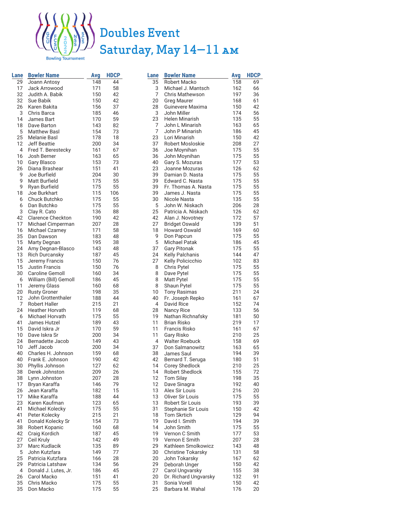

### Doubles Event Saturday, May 14—11 AM

| Lane            | <b>Bowler Name</b>                        | Avg        | <b>HDCP</b> |
|-----------------|-------------------------------------------|------------|-------------|
| 29              | Joann Antosy                              | 148        | 44          |
| 17              | Jack Arrowood                             | 171        | 58          |
| 32              | Judith A. Babik                           | 150        | 42          |
| 32              | Sue Babik                                 | 150        | 42          |
| 26              | Karen Bakita                              | 156        | 37          |
| 3               | Chris Barca                               | 185        | 46          |
| 14              | James Bart                                | 170        | 59          |
| 18              | Dave Barton                               | 143        | 82          |
| 5               | <b>Matthew Basl</b>                       | 154        | 73          |
| 25              | <b>Melanie Basl</b>                       | 178        | 18          |
| 12              | <b>Jeff Beattie</b>                       | 200        | 34          |
| 4               | Fred T. Berestecky                        | 161        | 67          |
| 16              | Josh Berner                               | 163        | 65          |
| 10              | Gary Blasco                               | 153        | 73          |
| 26              | Diana Brashear                            | 151        | 41          |
| 9               | Joe Burfield                              | 204        | 30          |
| 9               | Matt Burfield                             | 175        | 55          |
| 9<br>18         | Ryan Burfield<br>Joe Burkhart             | 175<br>115 | 55          |
| 6               | Chuck Butchko                             | 175        | 106<br>55   |
| 6               | Dan Butchko                               | 175        | 55          |
| 3               | Clay R. Cato                              | 136        | 88          |
| 42              | <b>Clarence Checkton</b>                  | 190        | 42          |
| 17              | Michael Cimperman                         | 207        | 28          |
| 16              | <b>Michael Czarney</b>                    | 171        | 58          |
| 35              | Dan Dawson                                | 183        | 48          |
| 15              | Marty Degnan                              | 195        | 38          |
| 24              | Amy Degnan-Blasco                         | 143        | 48          |
| 13              | <b>Rich Durcansky</b>                     | 187        | 45          |
| 15              | Jeremy Francis                            | 150        | 76          |
| 15              | <b>Justin Francis</b>                     | 150        | 76          |
| 30              | <b>Caroline Gemoll</b>                    | 160        | 34          |
| 6               | William (Bill) Gemoll                     | 186        | 45          |
| 11              | Jeremy Glass                              | 160        | 68          |
| 20              | <b>Rusty Groner</b>                       | 198        | 35          |
| 12              | John Grottenthaler                        | 188        | 44          |
| 7               | <b>Robert Haller</b>                      | 215        | 21          |
| 24              | <b>Heather Horvath</b><br>Michael Horvath | 119<br>175 | 68          |
| 6<br>41         | James Hutzel                              | 189        | 55<br>43    |
| 15              | David Iskra Jr                            | 170        | 59          |
| 10 <sup>1</sup> | Dave Iskra Sr                             | 200        | 34          |
| 24              | Bernadette Jacob                          | 149        | 43          |
| 10              | Jeff Jacob                                | 200        | 34          |
| 40              | Charles H. Johnson                        | 159        | 68          |
| 40              | Frank E. Johnson                          | 190        | 42          |
| 30              | Phyllis Johnson                           | 127        | 62          |
| 38              | Derek Johnston                            | 209        | 26          |
| 38              | Lynn Johnston                             | 207        | 28          |
| 17              | Bryan Karaffa                             | 146        | 79          |
| 26              | Jean Karaffa                              | 182        | 15          |
| 17              | Mike Karaffa                              | 188        | 44          |
| 23              | Karen Kaufman                             | 123        | 65          |
| 41              | Michael Kolecky                           | 175        | 55          |
| 41              | Peter Kolecky                             | 215        | 21          |
| 41              | Donald Kolecky Sr                         | 154        | 73          |
| 38<br>42        | Robert Kopanic<br>Craig Kordich           | 160<br>187 | 68<br>45    |
| 27              | Ceil Kruly                                | 142        | 49          |
| 37              | Marc Kudlacik                             | 135        | 89          |
| 5               | John Kutzfara                             | 149        | 77          |
| 25              | Patricia Kutzfara                         | 166        | 28          |
| 29              | Patricia Latshaw                          | 134        | 56          |
| 4               | Donald J. Lutes, Jr.                      | 186        | 45          |
| 26              | Carol Macko                               | 151        | 41          |
| 35              | Chris Macko                               | 175        | 55          |
| 35              | Don Macko                                 | 175        | 55          |

| Lane            | <b>Bowler Name</b>         | Avg | <b>HDCP</b> |
|-----------------|----------------------------|-----|-------------|
| 35              | Robert Macko               | 158 | 69          |
| 3.              | Michael J. Mantsch         | 162 | 66          |
| 7:              | <b>Chris Mathewson</b>     | 197 | 36          |
| 20              | <b>Greg Maurer</b>         | 168 | 61          |
| 28              | Guinevere Maxima           | 150 | 42          |
| 3               | John Miller                | 174 | 56          |
| 23              | Helen Minarish             | 135 | 55          |
| 7               | John L Minarish            | 163 | 65          |
| 7               | John P Minarish            | 186 | 45          |
| 23              | Lori Minarish              | 150 | 42          |
| 37              | Robert Mosloskie           | 208 | 27          |
| 36              | Joe Moynihan               | 175 | 55          |
| 36              | John Moynihan              | 175 | 55          |
| 40              | Gary S. Mozuras            | 177 | 53          |
| 23              | Joanne Mozuras             | 126 | 62          |
| 39              | Damian D. Nasta            | 175 | 55          |
| 39              | Edward C. Nasta            | 175 | 55          |
| 39              | Fr. Thomas A. Nasta        | 175 | 55          |
| 39              | James J. Nasta             | 175 | 55          |
| 30              | Nicole Nasta               | 135 | 55          |
| 5               | John W. Niskach            | 206 | 28          |
| 25              | Patricia A. Niskach        | 126 | 62          |
| 42              | Alan J. Novotney           | 172 | 57          |
| 27              | <b>Bridget Oswald</b>      | 139 | 51          |
| 18              | Howard Oswald              | 169 | 60          |
| 9               | Don Papcun                 | 175 | 55          |
| 5               | <b>Michael Patak</b>       | 186 | 45          |
| 37              | <b>Gary Pitonak</b>        | 175 | 55          |
| 24              | Kelly Palchanis            | 144 | 47          |
| 27              | Kelly Policicchio          | 102 | 83          |
| 8 :             | Chris Pytel                | 175 | 55          |
| 8 :             | Dave Pytel                 | 175 | 55          |
| 8 :             | Matt Pytel                 | 175 | 55          |
| 8:              | Shaun Pytel                | 175 | 55          |
| 10:             | <b>Tony Rasimas</b>        | 211 | 24          |
| 40.             | Fr. Joseph Repko           | 161 | 67          |
| 4.              | David Rice                 | 152 | 74          |
| 28              | Nancy Rice                 | 133 | 56          |
| 19:             | Nathan Richnafsky          | 181 | 50          |
| 11:             | <b>Brian Risko</b>         | 219 | 17          |
| 11:             | Francis Risko              | 161 | 67          |
| 11:             | Gary Risko                 | 210 | 25          |
| 4 :             | <b>Walter Roebuck</b>      | 158 | 69          |
| 37.             | Don Salmanowitz            | 163 | 65          |
| 38.             | James Saul                 | 194 | 39          |
| 42              | Bernard T. Seruga          | 180 | 51          |
|                 | 14 Corey Shedlock          | 210 | 25          |
| 14.             | <b>Robert Shedlock</b>     | 155 | 72          |
| 12.             | <b>Tom Silay</b>           | 198 | 35          |
| 12.             | Dave Sinagra               | 192 | 40          |
| 13:             | Alex Sir Louis             | 216 | 20          |
| 13:             | Oliver Sir Louis           | 175 | 55          |
| 13.             | Robert Sir Louis           | 193 | 39          |
| 31              | <b>Stephanie Sir Louis</b> | 150 | 42          |
| 18 <sup>°</sup> | <b>Tom Skrtich</b>         | 129 | 94          |
| 19.             | David I. Smith             | 194 | 39          |
| 14.             | John Smith                 | 175 | 55          |
| 19.             | Vernon C Smith             | 177 | 53          |
| 19.             | Vernon E Smith             | 207 | 28          |
| 29:             | Kathleen Smolkowicz        | 143 | 48          |
| 30              | Christine Tokarsky         | 131 | 58          |
| 20.             | John Tokarsky              | 167 | 62          |
| 29.             | Deborah Unger              | 150 | 42          |
| 27              | Carol Ungvarsky            | 155 | 38          |
| 20:             | Dr. Richard Ungvarsky      | 132 | 91          |
| 31              | Sonia Vorell               | 150 | 42          |
| 25:             | Barbara M. Wahal           | 176 | 20          |
|                 |                            |     |             |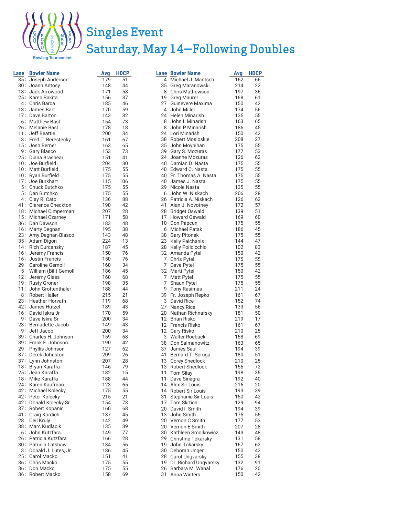

### Singles Event Saturday, May 14—Following Doubles

owling Tournament

| Lane            | <b>Bowler Name</b>                  | Avg        | <b>HDCP</b> |    | <b>Lane Bowler Name</b>                 | Avg        | HDCP     |
|-----------------|-------------------------------------|------------|-------------|----|-----------------------------------------|------------|----------|
|                 | 35 Joseph Anderson                  | 179        | 51          |    | 4 Michael J. Mantsch                    | 162        | 66       |
| 30.             | Joann Antosy                        | 148        | 44          |    | 35 Greg Maranowski                      | 214        | 22       |
| 18.             | Jack Arrowood                       | 171        | 58          |    | 8 Chris Mathewson                       | 197        | 36       |
|                 | 25 Karen Bakita                     | 156        | 37          |    | 19 Greg Maurer                          | 168        | 61       |
|                 | 4 Chris Barca                       | 185        | 46          | 27 | Guinevere Maxima                        | 150        | 42       |
| 13.             | James Bart                          | 170        | 59          |    | 4 John Miller                           | 174        | 56       |
| 17 <sup>2</sup> | Dave Barton                         | 143        | 82          |    | 24 Helen Minarish                       | 135        | 55       |
|                 | 6 Matthew Basl                      | 154        | 73          |    | 8 John L Minarish                       | 163        | 65       |
|                 | 26 Melanie Basl                     | 178        | 18          |    | 8 John P Minarish                       | 186        | 45       |
|                 | 11 Jeff Beattie                     | 200        | 34          |    | 24 Lori Minarish                        | 150        | 42       |
|                 | 3 Fred T. Berestecky                | 161        | 67          |    | 38 Robert Mosloskie                     | 208        | 27       |
|                 | 15 Josh Berner                      | 163        | 65          |    | 35 John Moynihan                        | 175        | 55       |
|                 | 9 Gary Blasco<br>25 Diana Brashear  | 153        | 73          |    | 39 Gary S. Mozuras<br>24 Joanne Mozuras | 177<br>126 | 53<br>62 |
|                 | 10 Joe Burfield                     | 151<br>204 | 41<br>30    |    | 40 Damian D. Nasta                      | 175        | 55       |
|                 | 10 Matt Burfield                    | 175        | 55          |    | 40 Edward C. Nasta                      | 175        | 55       |
|                 | 10 Ryan Burfield                    | 175        | 55          |    | 40 Fr. Thomas A. Nasta                  | 175        | 55       |
| 17 <sup>2</sup> | Joe Burkhart                        | 115        | 106         |    | 40 James J. Nasta                       | 175        | 55       |
|                 | 5 Chuck Butchko                     | 175        | 55          |    | 29 Nicole Nasta                         | 135        | 55       |
|                 | 5 Dan Butchko                       | 175        | 55          |    | 6 John W. Niskach                       | 206        | 28       |
|                 | 4 Clay R. Cato                      | 136        | 88          |    | 26 Patricia A. Niskach                  | 126        | 62       |
|                 | 41 Clarence Checkton                | 190        | 42          |    | 41 Alan J. Novotney                     | 172        | 57       |
|                 | 18 Michael Cimperman                | 207        | 28          |    | 28 Bridget Oswald                       | 139        | 51       |
|                 | 15 Michael Czarney                  | 171        | 58          |    | 17 Howard Oswald                        | 169        | 60       |
|                 | 36 Dan Dawson                       | 183        | 48          |    | 10 Don Papcun                           | 175        | 55       |
|                 | 16 Marty Degnan                     | 195        | 38          |    | 6 Michael Patak                         | 186        | 45       |
|                 | 23 Amy Degnan-Blasco                | 143        | 48          |    | 38 Gary Pitonak                         | 175        | 55       |
|                 | 35 Adam Digon                       | 224        | 13          |    | 23 Kelly Palchanis                      | 144        | 47       |
|                 | 14 Rich Durcansky                   | 187        | 45          |    | 28 Kelly Policicchio                    | 102        | 83       |
|                 | 16 Jeremy Francis                   | 150        | 76          |    | 32 Amanda Pytel                         | 150        | 42       |
|                 | 16 Justin Francis                   | 150        | 76          |    | 7 Chris Pytel                           | 175        | 55       |
| 29              | Caroline Gemoll                     | 160        | 34          |    | 7 Dave Pytel                            | 175        | 55       |
| 5               | William (Bill) Gemoll               | 186        | 45          |    | 32 Marti Pytel                          | 150        | 42       |
| $12 -$          | Jeremy Glass                        | 160        | 68          |    | 7 Matt Pytel                            | 175        | 55       |
|                 | 19 Rusty Groner                     | 198        | 35          | 7  | Shaun Pytel                             | 175        | 55       |
| $11 -$          | John Grottenthaler                  | 188        | 44          | 9  | Tony Rasimas                            | 211        | 24       |
|                 | 8 Robert Haller                     | 215        | 21          |    | 39 Fr. Joseph Repko                     | 161        | 67       |
|                 | 23 Heather Horvath                  | 119        | 68          |    | 3 David Rice                            | 152        | 74       |
| 42.             | James Hutzel                        | 189        | 43          | 27 | <b>Nancy Rice</b>                       | 133        | 56       |
|                 | 16 David Iskra Jr                   | 170        | 59          | 20 | Nathan Richnafsky                       | 181        | 50       |
|                 | 9 Dave Iskra Sr                     | 200        | 34          |    | 12 Brian Risko                          | 219        | 17       |
|                 | 23 Bernadette Jacob<br>9 Jeff Jacob | 149        | 43          |    | 12 Francis Risko                        | 161        | 67       |
|                 | 39 Charles H. Johnson               | 200<br>159 | 34<br>68    |    | 12 Gary Risko                           | 210        | 25       |
|                 | 39 Frank E. Johnson                 | 190        | 42          |    | 3 Walter Roebuck<br>38 Don Salmanowitz  | 158<br>163 | 69<br>65 |
| 29              | Phyllis Johnson                     | 127        | 62          |    | 37 James Saul                           | 194        | 39       |
| 37.             | Derek Johnston                      | 209        | 26          |    | 41 Bernard T. Seruga                    | 180        | 51       |
|                 | 37 Lynn Johnston                    | 207        | 28          |    | 13 Corey Shedlock                       | 210        | 25       |
|                 | 18 Bryan Karaffa                    | 146        | 79          |    | 13 Robert Shedlock                      | 155        | 72       |
|                 | 25 Jean Karaffa                     | 182        | 15          | 11 | Tom Silay                               | 198        | 35       |
|                 | 18 Mike Karaffa                     | 188        | 44          | 11 | Dave Sinagra                            | 192        | 40       |
|                 | 24 Karen Kaufman                    | 123        | 65          |    | 14 Alex Sir Louis                       | 216        | 20       |
|                 | 42 Michael Kolecky                  | 175        | 55          |    | 14 Robert Sir Louis                     | 193        | 39       |
|                 | 42 Peter Kolecky                    | 215        | 21          | 31 | Stephanie Sir Louis                     | 150        | 42       |
|                 | 42 Donald Kolecky Sr                | 154        | 73          |    | 17 Tom Skrtich                          | 129        | 94       |
|                 | 37 Robert Kopanic                   | 160        | 68          |    | 20 David I. Smith                       | 194        | 39       |
| 41.             | Craig Kordich                       | 187        | 45          | 13 | John Smith                              | 175        | 55       |
| 28              | Ceil Kruly                          | 142        | 49          | 20 | Vernon C Smith                          | 177        | 53       |
| 38.             | Marc Kudlacik                       | 135        | 89          |    | 20 Vernon E Smith                       | 207        | 28       |
|                 | 6 John Kutzfara                     | 149        | 77          |    | 30 Kathleen Smolkowicz                  | 143        | 48       |
|                 | 26 Patricia Kutzfara                | 166        | 28          |    | 29 Christine Tokarsky                   | 131        | 58       |
|                 | 30 Patricia Latshaw                 | 134        | 56          | 19 | John Tokarsky                           | 167        | 62       |
|                 | 3 Donald J. Lutes, Jr.              | 186        | 45          |    | 30 Deborah Unger                        | 150        | 42       |
|                 | 25 Carol Macko                      | 151        | 41          |    | 28 Carol Ungvarsky                      | 155        | 38       |
|                 | 36 Chris Macko                      | 175        | 55          |    | 19 Dr. Richard Ungvarsky                | 132        | 91       |
|                 | 36 Don Macko                        | 175        | 55          | 26 | Barbara M. Wahal                        | 176        | 20       |
| 36.             | Robert Macko                        | 158        | 69          |    | 31 Anna Winters                         | 150        | 42       |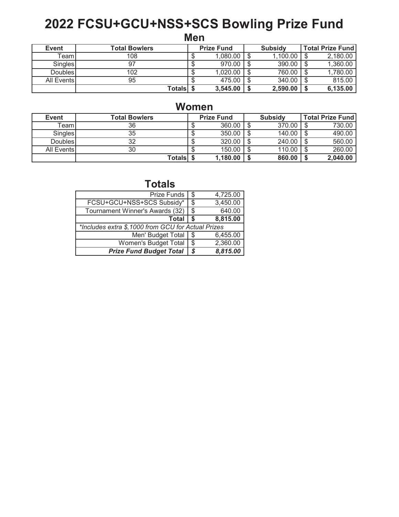## 2022 FCSU+GCU+NSS+SCS Bowling Prize Fund

**Men** 

| Event          | <b>Total Bowlers</b> | <b>Prize Fund</b> | <b>Subsidy</b> | <b>Total Prize Fund</b> |
|----------------|----------------------|-------------------|----------------|-------------------------|
| ⊺eamI          | 108                  | 1,080.00          | 1,100.00       | 2,180.00                |
| Singles        |                      | 970.00            | 390.00         | 1,360.00                |
| <b>Doubles</b> | 102                  | 1,020.00          | 760.00         | 1,780.00                |
| All Events     | 95                   | 475.00            | 340.00         | 815.00                  |
|                | Totalsl              | 3,545.00          | 2,590.00       | 6,135.00                |

#### **Women**

| Event      | <b>Total Bowlers</b> | <b>Prize Fund</b> | <b>Subsidy</b> | <b>Total Prize Fund</b> |
|------------|----------------------|-------------------|----------------|-------------------------|
| TeamI      | 36                   | 360.00            | 370.00         | 730.00                  |
| Singles    | 35                   | 350.00            | 140.00         | 490.00                  |
| DoublesI   | າາ                   | 320.00            | 240.00         | 560.00                  |
| All Events | 30                   | 150.00            | 110.00         | 260.00                  |
|            | <b>Totals</b>        | 1,180.00          | 860.00         | 2,040.00                |

**Totals** 

| <b>Prize Funds</b>                                 | \$   | 4,725.00 |
|----------------------------------------------------|------|----------|
| FCSU+GCU+NSS+SCS Subsidy*                          | \$   | 3,450.00 |
| Tournament Winner's Awards (32)                    | -\$  | 640.00   |
| <b>Total</b>                                       | - \$ | 8,815.00 |
| *Includes extra \$,1000 from GCU for Actual Prizes |      |          |
| Men' Budget Total                                  | -\$  | 6,455.00 |
| Women's Budget Total                               | \$   | 2,360.00 |
| <b>Prize Fund Budget Total</b>                     | S    | 8,815.00 |